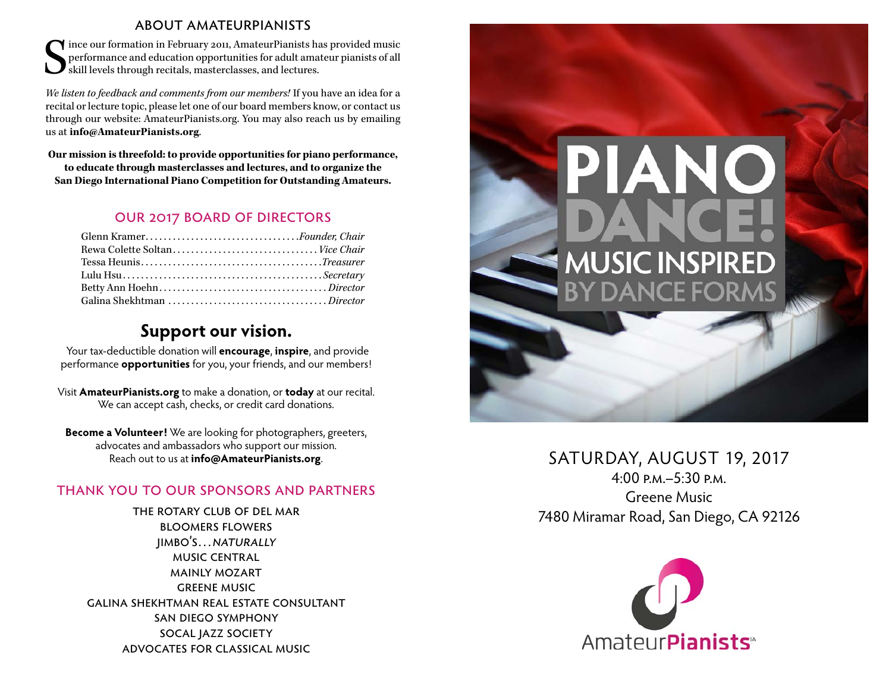#### about amateurpianists

S ince our formation in February 2011, AmateurPianists has provided music performance and education opportunities for adult amateur pianists of all skill levels through recitals, masterclasses, and lectures.

*We listen to feedback and comments from our members!* If you have an idea for a recital or lecture topic, please let one of our board members know, or contact us through our website: AmateurPianists.org. You may also reach us by emailing us at **info@AmateurPianists.org**.

**Our mission is threefold: to provide opportunities for piano performance, to educate through masterclasses and lectures, and to organize the San Diego International Piano Competition for Outstanding Amateurs.**

#### our 2017 board of directors

| Glenn KramerFounder, Chair |  |
|----------------------------|--|
|                            |  |
|                            |  |
|                            |  |
|                            |  |
|                            |  |

## **Support our vision.**

Your tax-deductible donation will **encourage**, **inspire**, and provide performance **opportunities** for you, your friends, and our members!

Visit **AmateurPianists.org** to make a donation, or **today** at our recital. We can accept cash, checks, or credit card donations.

**Become a Volunteer!** We are looking for photographers, greeters, advocates and ambassadors who support our mission. Reach out to us at **info@AmateurPianists.org**.

#### thank you to our sponsors and partners

the rotary club of del mar bloomers flowers jimbo's…naturally music central mainly mozart greene music galina shekhtman real estate consultant san diego symphony socal jazz society advocates for classical music



## SATURDAY, AUGUST 19, 2017

 $4.00 P_M - 5.30 P_M$ Greene Music 7480 Miramar Road, San Diego, CA 92126